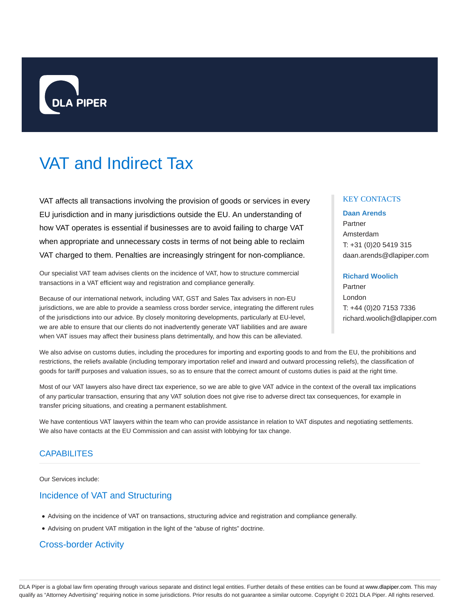

# VAT and Indirect Tax

VAT affects all transactions involving the provision of goods or services in every EU jurisdiction and in many jurisdictions outside the EU. An understanding of how VAT operates is essential if businesses are to avoid failing to charge VAT when appropriate and unnecessary costs in terms of not being able to reclaim VAT charged to them. Penalties are increasingly stringent for non-compliance.

Our specialist VAT team advises clients on the incidence of VAT, how to structure commercial transactions in a VAT efficient way and registration and compliance generally.

Because of our international network, including VAT, GST and Sales Tax advisers in non-EU jurisdictions, we are able to provide a seamless cross border service, integrating the different rules of the jurisdictions into our advice. By closely monitoring developments, particularly at EU-level, we are able to ensure that our clients do not inadvertently generate VAT liabilities and are aware when VAT issues may affect their business plans detrimentally, and how this can be alleviated.

We also advise on customs duties, including the procedures for importing and exporting goods to and from the EU, the prohibitions and restrictions, the reliefs available (including temporary importation relief and inward and outward processing reliefs), the classification of goods for tariff purposes and valuation issues, so as to ensure that the correct amount of customs duties is paid at the right time.

Most of our VAT lawyers also have direct tax experience, so we are able to give VAT advice in the context of the overall tax implications of any particular transaction, ensuring that any VAT solution does not give rise to adverse direct tax consequences, for example in transfer pricing situations, and creating a permanent establishment.

We have contentious VAT lawyers within the team who can provide assistance in relation to VAT disputes and negotiating settlements. We also have contacts at the EU Commission and can assist with lobbying for tax change.

# **CAPABILITES**

Our Services include:

# Incidence of VAT and Structuring

- Advising on the incidence of VAT on transactions, structuring advice and registration and compliance generally.
- Advising on prudent VAT mitigation in the light of the "abuse of rights" doctrine.

# Cross-border Activity

# KEY CONTACTS

#### **Daan Arends**

Partner Amsterdam T: +31 (0)20 5419 315 daan.arends@dlapiper.com

### **Richard Woolich**

Partner London T: +44 (0)20 7153 7336 richard.woolich@dlapiper.com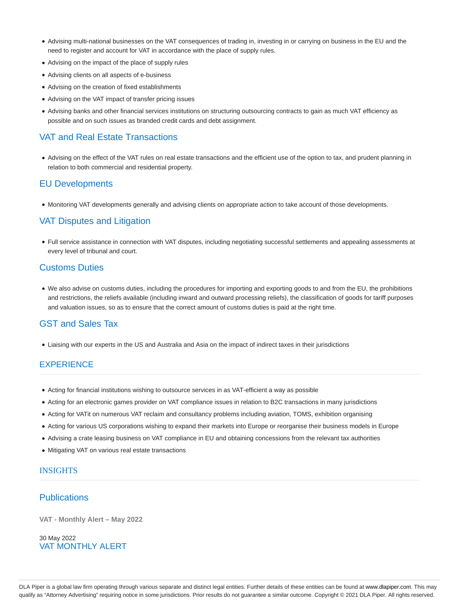- Advising multi-national businesses on the VAT consequences of trading in, investing in or carrying on business in the EU and the need to register and account for VAT in accordance with the place of supply rules.
- Advising on the impact of the place of supply rules
- Advising clients on all aspects of e-business
- Advising on the creation of fixed establishments
- Advising on the VAT impact of transfer pricing issues
- Advising banks and other financial services institutions on structuring outsourcing contracts to gain as much VAT efficiency as possible and on such issues as branded credit cards and debt assignment.

# VAT and Real Estate Transactions

Advising on the effect of the VAT rules on real estate transactions and the efficient use of the option to tax, and prudent planning in relation to both commercial and residential property.

# EU Developments

Monitoring VAT developments generally and advising clients on appropriate action to take account of those developments.

# VAT Disputes and Litigation

Full service assistance in connection with VAT disputes, including negotiating successful settlements and appealing assessments at every level of tribunal and court.

# Customs Duties

We also advise on customs duties, including the procedures for importing and exporting goods to and from the EU, the prohibitions and restrictions, the reliefs available (including inward and outward processing reliefs), the classification of goods for tariff purposes and valuation issues, so as to ensure that the correct amount of customs duties is paid at the right time.

# GST and Sales Tax

Liaising with our experts in the US and Australia and Asia on the impact of indirect taxes in their jurisdictions

# **EXPERIENCE**

- Acting for financial institutions wishing to outsource services in as VAT-efficient a way as possible
- Acting for an electronic games provider on VAT compliance issues in relation to B2C transactions in many jurisdictions
- Acting for VATit on numerous VAT reclaim and consultancy problems including aviation, TOMS, exhibition organising
- Acting for various US corporations wishing to expand their markets into Europe or reorganise their business models in Europe
- Advising a crate leasing business on VAT compliance in EU and obtaining concessions from the relevant tax authorities
- Mitigating VAT on various real estate transactions

# **INSIGHTS**

# **Publications**

**VAT - Monthly Alert – May 2022**

30 May 2022 VAT MONTHLY ALERT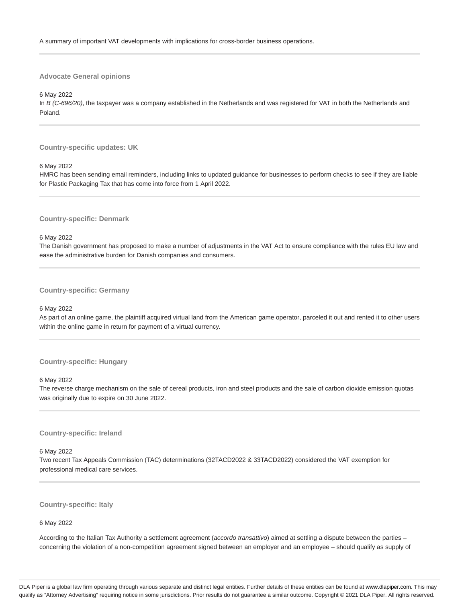#### **Advocate General opinions**

6 May 2022

In B (C-696/20), the taxpayer was a company established in the Netherlands and was registered for VAT in both the Netherlands and Poland.

#### **Country-specific updates: UK**

6 May 2022

HMRC has been sending email reminders, including links to updated guidance for businesses to perform checks to see if they are liable for Plastic Packaging Tax that has come into force from 1 April 2022.

#### **Country-specific: Denmark**

#### 6 May 2022

The Danish government has proposed to make a number of adjustments in the VAT Act to ensure compliance with the rules EU law and ease the administrative burden for Danish companies and consumers.

#### **Country-specific: Germany**

#### 6 May 2022

As part of an online game, the plaintiff acquired virtual land from the American game operator, parceled it out and rented it to other users within the online game in return for payment of a virtual currency.

#### **Country-specific: Hungary**

#### 6 May 2022

The reverse charge mechanism on the sale of cereal products, iron and steel products and the sale of carbon dioxide emission quotas was originally due to expire on 30 June 2022.

#### **Country-specific: Ireland**

#### 6 May 2022

Two recent Tax Appeals Commission (TAC) determinations (32TACD2022 & 33TACD2022) considered the VAT exemption for professional medical care services.

#### **Country-specific: Italy**

#### 6 May 2022

According to the Italian Tax Authority a settlement agreement (accordo transattivo) aimed at settling a dispute between the parties – concerning the violation of a non-competition agreement signed between an employer and an employee – should qualify as supply of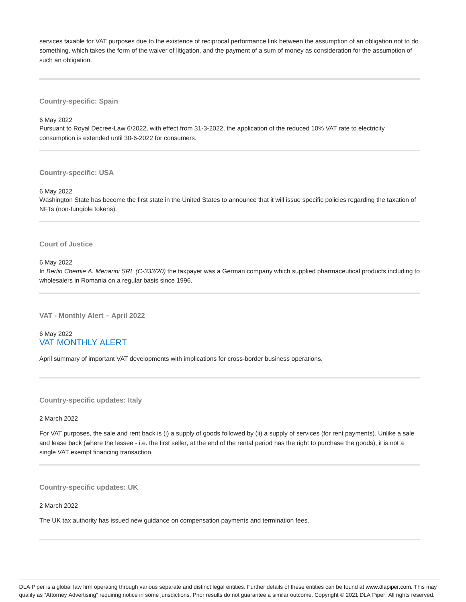services taxable for VAT purposes due to the existence of reciprocal performance link between the assumption of an obligation not to do something, which takes the form of the waiver of litigation, and the payment of a sum of money as consideration for the assumption of such an obligation.

**Country-specific: Spain**

6 May 2022

Pursuant to Royal Decree-Law 6/2022, with effect from 31-3-2022, the application of the reduced 10% VAT rate to electricity consumption is extended until 30-6-2022 for consumers.

**Country-specific: USA**

6 May 2022

Washington State has become the first state in the United States to announce that it will issue specific policies regarding the taxation of NFTs (non-fungible tokens).

#### **Court of Justice**

6 May 2022

In Berlin Chemie A. Menarini SRL (C-333/20) the taxpayer was a German company which supplied pharmaceutical products including to wholesalers in Romania on a regular basis since 1996.

**VAT - Monthly Alert – April 2022**

# 6 May 2022 VAT MONTHLY ALERT

April summary of important VAT developments with implications for cross-border business operations.

**Country-specific updates: Italy**

2 March 2022

For VAT purposes, the sale and rent back is (i) a supply of goods followed by (ii) a supply of services (for rent payments). Unlike a sale and lease back (where the lessee - i.e. the first seller, at the end of the rental period has the right to purchase the goods), it is not a single VAT exempt financing transaction.

**Country-specific updates: UK**

2 March 2022

The UK tax authority has issued new guidance on compensation payments and termination fees.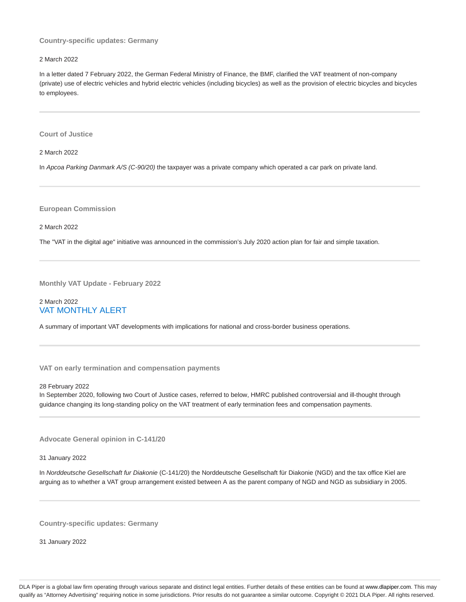#### **Country-specific updates: Germany**

### 2 March 2022

In a letter dated 7 February 2022, the German Federal Ministry of Finance, the BMF, clarified the VAT treatment of non-company (private) use of electric vehicles and hybrid electric vehicles (including bicycles) as well as the provision of electric bicycles and bicycles to employees.

**Court of Justice**

2 March 2022

In Apcoa Parking Danmark A/S (C-90/20) the taxpayer was a private company which operated a car park on private land.

**European Commission**

2 March 2022

The "VAT in the digital age" initiative was announced in the commission's July 2020 action plan for fair and simple taxation.

**Monthly VAT Update - February 2022**

### 2 March 2022 VAT MONTHLY ALERT

A summary of important VAT developments with implications for national and cross-border business operations.

**VAT on early termination and compensation payments**

28 February 2022

In September 2020, following two Court of Justice cases, referred to below, HMRC published controversial and ill-thought through guidance changing its long-standing policy on the VAT treatment of early termination fees and compensation payments.

**Advocate General opinion in C-141/20**

31 January 2022

In Norddeutsche Gesellschaft fur Diakonie (C-141/20) the Norddeutsche Gesellschaft für Diakonie (NGD) and the tax office Kiel are arguing as to whether a VAT group arrangement existed between A as the parent company of NGD and NGD as subsidiary in 2005.

**Country-specific updates: Germany**

31 January 2022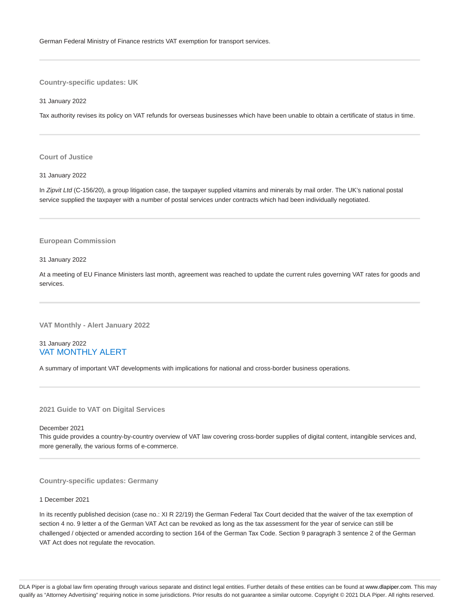**Country-specific updates: UK**

31 January 2022

Tax authority revises its policy on VAT refunds for overseas businesses which have been unable to obtain a certificate of status in time.

#### **Court of Justice**

31 January 2022

In Zipvit Ltd (C-156/20), a group litigation case, the taxpayer supplied vitamins and minerals by mail order. The UK's national postal service supplied the taxpayer with a number of postal services under contracts which had been individually negotiated.

#### **European Commission**

#### 31 January 2022

At a meeting of EU Finance Ministers last month, agreement was reached to update the current rules governing VAT rates for goods and services.

**VAT Monthly - Alert January 2022**

### 31 January 2022 VAT MONTHLY ALERT

A summary of important VAT developments with implications for national and cross-border business operations.

**2021 Guide to VAT on Digital Services**

December 2021

This guide provides a country-by-country overview of VAT law covering cross-border supplies of digital content, intangible services and, more generally, the various forms of e-commerce.

**Country-specific updates: Germany**

#### 1 December 2021

In its recently published decision (case no.: XI R 22/19) the German Federal Tax Court decided that the waiver of the tax exemption of section 4 no. 9 letter a of the German VAT Act can be revoked as long as the tax assessment for the year of service can still be challenged / objected or amended according to section 164 of the German Tax Code. Section 9 paragraph 3 sentence 2 of the German VAT Act does not regulate the revocation.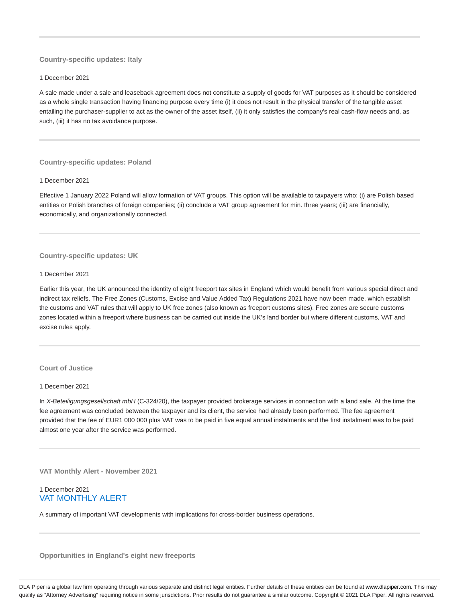### **Country-specific updates: Italy**

#### 1 December 2021

A sale made under a sale and leaseback agreement does not constitute a supply of goods for VAT purposes as it should be considered as a whole single transaction having financing purpose every time (i) it does not result in the physical transfer of the tangible asset entailing the purchaser-supplier to act as the owner of the asset itself, (ii) it only satisfies the company's real cash-flow needs and, as such, (iii) it has no tax avoidance purpose.

#### **Country-specific updates: Poland**

#### 1 December 2021

Effective 1 January 2022 Poland will allow formation of VAT groups. This option will be available to taxpayers who: (i) are Polish based entities or Polish branches of foreign companies; (ii) conclude a VAT group agreement for min. three years; (iii) are financially, economically, and organizationally connected.

#### **Country-specific updates: UK**

#### 1 December 2021

Earlier this year, the UK announced the identity of eight freeport tax sites in England which would benefit from various special direct and indirect tax reliefs. The Free Zones (Customs, Excise and Value Added Tax) Regulations 2021 have now been made, which establish the customs and VAT rules that will apply to UK free zones (also known as freeport customs sites). Free zones are secure customs zones located within a freeport where business can be carried out inside the UK's land border but where different customs, VAT and excise rules apply.

### **Court of Justice**

#### 1 December 2021

In X-Beteiligungsgesellschaft mbH (C-324/20), the taxpayer provided brokerage services in connection with a land sale. At the time the fee agreement was concluded between the taxpayer and its client, the service had already been performed. The fee agreement provided that the fee of EUR1 000 000 plus VAT was to be paid in five equal annual instalments and the first instalment was to be paid almost one year after the service was performed.

**VAT Monthly Alert - November 2021**

#### 1 December 2021 VAT MONTHLY ALERT

A summary of important VAT developments with implications for cross-border business operations.

**Opportunities in England's eight new freeports**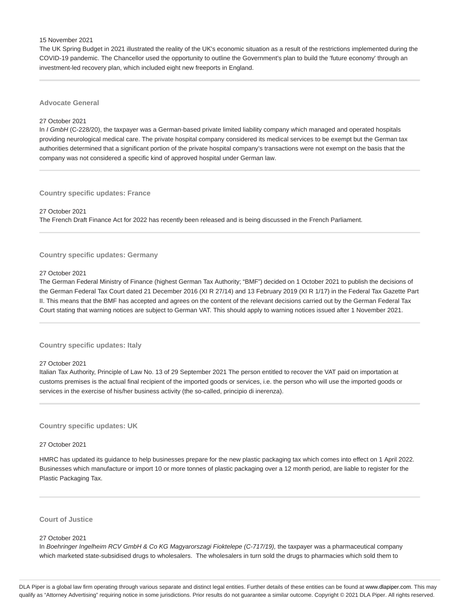15 November 2021

The UK Spring Budget in 2021 illustrated the reality of the UK's economic situation as a result of the restrictions implemented during the COVID-19 pandemic. The Chancellor used the opportunity to outline the Government's plan to build the 'future economy' through an investment-led recovery plan, which included eight new freeports in England.

**Advocate General**

#### 27 October 2021

In I GmbH (C-228/20), the taxpayer was a German-based private limited liability company which managed and operated hospitals providing neurological medical care. The private hospital company considered its medical services to be exempt but the German tax authorities determined that a significant portion of the private hospital company's transactions were not exempt on the basis that the company was not considered a specific kind of approved hospital under German law.

**Country specific updates: France**

27 October 2021

The French Draft Finance Act for 2022 has recently been released and is being discussed in the French Parliament.

#### **Country specific updates: Germany**

#### 27 October 2021

The German Federal Ministry of Finance (highest German Tax Authority; "BMF") decided on 1 October 2021 to publish the decisions of the German Federal Tax Court dated 21 December 2016 (XI R 27/14) and 13 February 2019 (XI R 1/17) in the Federal Tax Gazette Part II. This means that the BMF has accepted and agrees on the content of the relevant decisions carried out by the German Federal Tax Court stating that warning notices are subject to German VAT. This should apply to warning notices issued after 1 November 2021.

#### **Country specific updates: Italy**

#### 27 October 2021

Italian Tax Authority, Principle of Law No. 13 of 29 September 2021 The person entitled to recover the VAT paid on importation at customs premises is the actual final recipient of the imported goods or services, i.e. the person who will use the imported goods or services in the exercise of his/her business activity (the so-called, principio di inerenza).

#### **Country specific updates: UK**

#### 27 October 2021

HMRC has updated its guidance to help businesses prepare for the new plastic packaging tax which comes into effect on 1 April 2022. Businesses which manufacture or import 10 or more tonnes of plastic packaging over a 12 month period, are liable to register for the Plastic Packaging Tax.

#### **Court of Justice**

#### 27 October 2021

In Boehringer Ingelheim RCV GmbH & Co KG Magyarorszagi Fioktelepe (C-717/19), the taxpayer was a pharmaceutical company which marketed state-subsidised drugs to wholesalers. The wholesalers in turn sold the drugs to pharmacies which sold them to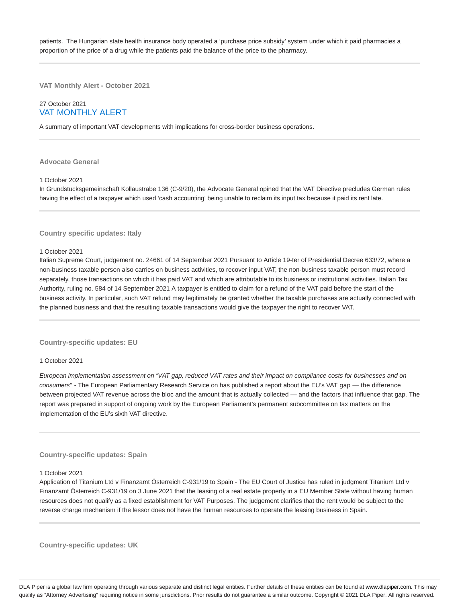patients. The Hungarian state health insurance body operated a 'purchase price subsidy' system under which it paid pharmacies a proportion of the price of a drug while the patients paid the balance of the price to the pharmacy.

**VAT Monthly Alert - October 2021**

# 27 October 2021 VAT MONTHLY ALERT

A summary of important VAT developments with implications for cross-border business operations.

#### **Advocate General**

#### 1 October 2021

In Grundstucksgemeinschaft Kollaustrabe 136 (C-9/20), the Advocate General opined that the VAT Directive precludes German rules having the effect of a taxpayer which used 'cash accounting' being unable to reclaim its input tax because it paid its rent late.

#### **Country specific updates: Italy**

### 1 October 2021

Italian Supreme Court, judgement no. 24661 of 14 September 2021 Pursuant to Article 19-ter of Presidential Decree 633/72, where a non-business taxable person also carries on business activities, to recover input VAT, the non-business taxable person must record separately, those transactions on which it has paid VAT and which are attributable to its business or institutional activities. Italian Tax Authority, ruling no. 584 of 14 September 2021 A taxpayer is entitled to claim for a refund of the VAT paid before the start of the business activity. In particular, such VAT refund may legitimately be granted whether the taxable purchases are actually connected with the planned business and that the resulting taxable transactions would give the taxpayer the right to recover VAT.

**Country-specific updates: EU**

#### 1 October 2021

European implementation assessment on "VAT gap, reduced VAT rates and their impact on compliance costs for businesses and on consumers" - The European Parliamentary Research Service on has published a report about the EU's VAT gap — the difference between projected VAT revenue across the bloc and the amount that is actually collected — and the factors that influence that gap. The report was prepared in support of ongoing work by the European Parliament's permanent subcommittee on tax matters on the implementation of the EU's sixth VAT directive.

#### **Country-specific updates: Spain**

#### 1 October 2021

Application of Titanium Ltd v Finanzamt Österreich C-931/19 to Spain - The EU Court of Justice has ruled in judgment Titanium Ltd v Finanzamt Österreich C-931/19 on 3 June 2021 that the leasing of a real estate property in a EU Member State without having human resources does not qualify as a fixed establishment for VAT Purposes. The judgement clarifies that the rent would be subject to the reverse charge mechanism if the lessor does not have the human resources to operate the leasing business in Spain.

**Country-specific updates: UK**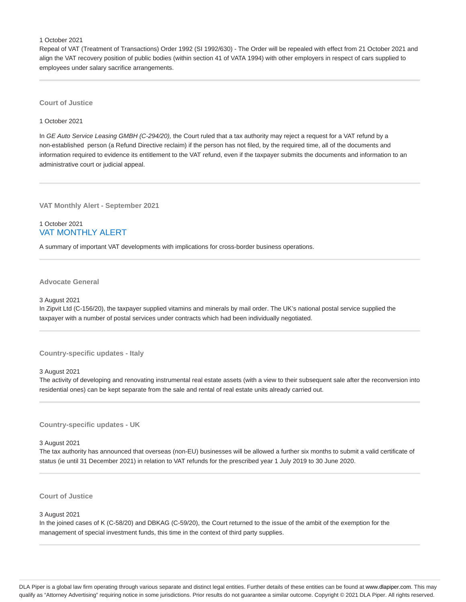#### 1 October 2021

Repeal of VAT (Treatment of Transactions) Order 1992 (SI 1992/630) - The Order will be repealed with effect from 21 October 2021 and align the VAT recovery position of public bodies (within section 41 of VATA 1994) with other employers in respect of cars supplied to employees under salary sacrifice arrangements.

**Court of Justice**

#### 1 October 2021

In GE Auto Service Leasing GMBH (C-294/20), the Court ruled that a tax authority may reject a request for a VAT refund by a non-established person (a Refund Directive reclaim) if the person has not filed, by the required time, all of the documents and information required to evidence its entitlement to the VAT refund, even if the taxpayer submits the documents and information to an administrative court or judicial appeal.

**VAT Monthly Alert - September 2021**

### 1 October 2021 VAT MONTHLY ALERT

A summary of important VAT developments with implications for cross-border business operations.

#### **Advocate General**

#### 3 August 2021

In Zipvit Ltd (C-156/20), the taxpayer supplied vitamins and minerals by mail order. The UK's national postal service supplied the taxpayer with a number of postal services under contracts which had been individually negotiated.

#### **Country-specific updates - Italy**

#### 3 August 2021

The activity of developing and renovating instrumental real estate assets (with a view to their subsequent sale after the reconversion into residential ones) can be kept separate from the sale and rental of real estate units already carried out.

**Country-specific updates - UK**

#### 3 August 2021

The tax authority has announced that overseas (non-EU) businesses will be allowed a further six months to submit a valid certificate of status (ie until 31 December 2021) in relation to VAT refunds for the prescribed year 1 July 2019 to 30 June 2020.

#### **Court of Justice**

#### 3 August 2021

In the joined cases of K (C-58/20) and DBKAG (C-59/20), the Court returned to the issue of the ambit of the exemption for the management of special investment funds, this time in the context of third party supplies.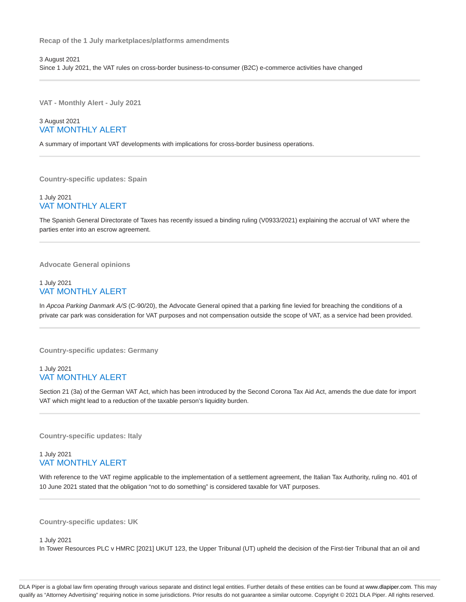**Recap of the 1 July marketplaces/platforms amendments**

3 August 2021 Since 1 July 2021, the VAT rules on cross-border business-to-consumer (B2C) e-commerce activities have changed

**VAT - Monthly Alert - July 2021**

# 3 August 2021 VAT MONTHLY ALERT

A summary of important VAT developments with implications for cross-border business operations.

**Country-specific updates: Spain**

### 1 July 2021 VAT MONTHLY ALERT

The Spanish General Directorate of Taxes has recently issued a binding ruling (V0933/2021) explaining the accrual of VAT where the parties enter into an escrow agreement.

**Advocate General opinions**

### 1 July 2021 VAT MONTHLY ALERT

In Apcoa Parking Danmark A/S (C-90/20), the Advocate General opined that a parking fine levied for breaching the conditions of a private car park was consideration for VAT purposes and not compensation outside the scope of VAT, as a service had been provided.

**Country-specific updates: Germany**

# 1 July 2021 VAT MONTHLY ALERT

Section 21 (3a) of the German VAT Act, which has been introduced by the Second Corona Tax Aid Act, amends the due date for import VAT which might lead to a reduction of the taxable person's liquidity burden.

**Country-specific updates: Italy**

# 1 July 2021 VAT MONTHLY ALERT

With reference to the VAT regime applicable to the implementation of a settlement agreement, the Italian Tax Authority, ruling no. 401 of 10 June 2021 stated that the obligation "not to do something" is considered taxable for VAT purposes.

**Country-specific updates: UK**

1 July 2021

In Tower Resources PLC v HMRC [2021] UKUT 123, the Upper Tribunal (UT) upheld the decision of the First-tier Tribunal that an oil and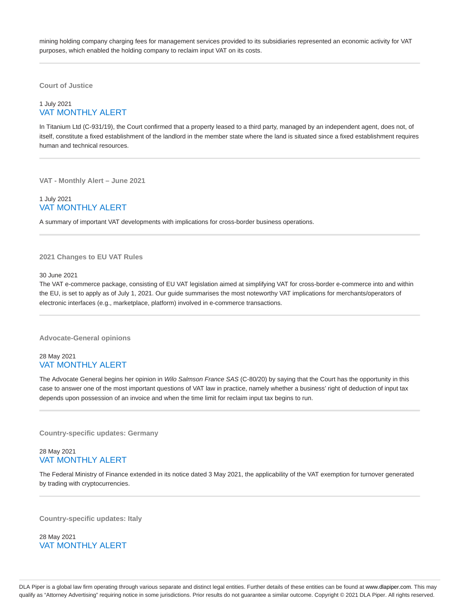mining holding company charging fees for management services provided to its subsidiaries represented an economic activity for VAT purposes, which enabled the holding company to reclaim input VAT on its costs.

**Court of Justice**

# 1 July 2021 VAT MONTHLY ALERT

In Titanium Ltd (C-931/19), the Court confirmed that a property leased to a third party, managed by an independent agent, does not, of itself, constitute a fixed establishment of the landlord in the member state where the land is situated since a fixed establishment requires human and technical resources.

**VAT - Monthly Alert – June 2021**

1 July 2021 VAT MONTHLY ALERT

A summary of important VAT developments with implications for cross-border business operations.

**2021 Changes to EU VAT Rules**

#### 30 June 2021

The VAT e-commerce package, consisting of EU VAT legislation aimed at simplifying VAT for cross-border e-commerce into and within the EU, is set to apply as of July 1, 2021. Our guide summarises the most noteworthy VAT implications for merchants/operators of electronic interfaces (e.g., marketplace, platform) involved in e-commerce transactions.

**Advocate-General opinions**

### 28 May 2021 VAT MONTHLY ALERT

The Advocate General begins her opinion in Wilo Salmson France SAS (C-80/20) by saying that the Court has the opportunity in this case to answer one of the most important questions of VAT law in practice, namely whether a business' right of deduction of input tax depends upon possession of an invoice and when the time limit for reclaim input tax begins to run.

**Country-specific updates: Germany**

# 28 May 2021 VAT MONTHLY ALERT

The Federal Ministry of Finance extended in its notice dated 3 May 2021, the applicability of the VAT exemption for turnover generated by trading with cryptocurrencies.

**Country-specific updates: Italy**

28 May 2021 VAT MONTHLY ALERT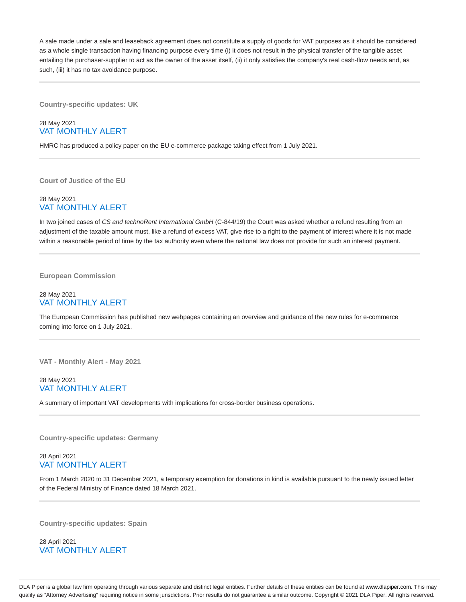A sale made under a sale and leaseback agreement does not constitute a supply of goods for VAT purposes as it should be considered as a whole single transaction having financing purpose every time (i) it does not result in the physical transfer of the tangible asset entailing the purchaser-supplier to act as the owner of the asset itself, (ii) it only satisfies the company's real cash-flow needs and, as such, (iii) it has no tax avoidance purpose.

**Country-specific updates: UK**

# 28 May 2021 VAT MONTHLY ALERT

HMRC has produced a policy paper on the EU e-commerce package taking effect from 1 July 2021.

**Court of Justice of the EU**

# 28 May 2021 VAT MONTHLY ALERT

In two joined cases of CS and technoRent International GmbH (C-844/19) the Court was asked whether a refund resulting from an adjustment of the taxable amount must, like a refund of excess VAT, give rise to a right to the payment of interest where it is not made within a reasonable period of time by the tax authority even where the national law does not provide for such an interest payment.

**European Commission**

### 28 May 2021 VAT MONTHLY ALERT

The European Commission has published new webpages containing an overview and guidance of the new rules for e-commerce coming into force on 1 July 2021.

**VAT - Monthly Alert - May 2021**

# 28 May 2021 VAT MONTHLY ALERT

A summary of important VAT developments with implications for cross-border business operations.

**Country-specific updates: Germany**

# 28 April 2021 VAT MONTHLY ALERT

From 1 March 2020 to 31 December 2021, a temporary exemption for donations in kind is available pursuant to the newly issued letter of the Federal Ministry of Finance dated 18 March 2021.

**Country-specific updates: Spain**

28 April 2021 VAT MONTHLY ALERT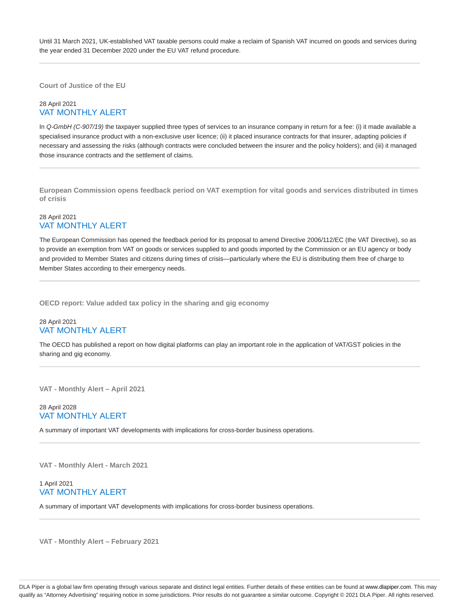Until 31 March 2021, UK-established VAT taxable persons could make a reclaim of Spanish VAT incurred on goods and services during the year ended 31 December 2020 under the EU VAT refund procedure.

**Court of Justice of the EU**

# 28 April 2021 VAT MONTHLY ALERT

In Q-GmbH (C-907/19) the taxpayer supplied three types of services to an insurance company in return for a fee: (i) it made available a specialised insurance product with a non-exclusive user licence; (ii) it placed insurance contracts for that insurer, adapting policies if necessary and assessing the risks (although contracts were concluded between the insurer and the policy holders); and (iii) it managed those insurance contracts and the settlement of claims.

**European Commission opens feedback period on VAT exemption for vital goods and services distributed in times of crisis**

# 28 April 2021 VAT MONTHLY ALERT

The European Commission has opened the feedback period for its proposal to amend Directive 2006/112/EC (the VAT Directive), so as to provide an exemption from VAT on goods or services supplied to and goods imported by the Commission or an EU agency or body and provided to Member States and citizens during times of crisis—particularly where the EU is distributing them free of charge to Member States according to their emergency needs.

**OECD report: Value added tax policy in the sharing and gig economy**

# 28 April 2021 VAT MONTHLY ALERT

The OECD has published a report on how digital platforms can play an important role in the application of VAT/GST policies in the sharing and gig economy.

**VAT - Monthly Alert – April 2021**

# 28 April 2028 VAT MONTHLY ALERT

A summary of important VAT developments with implications for cross-border business operations.

**VAT - Monthly Alert - March 2021**

### 1 April 2021 VAT MONTHLY ALERT

A summary of important VAT developments with implications for cross-border business operations.

**VAT - Monthly Alert – February 2021**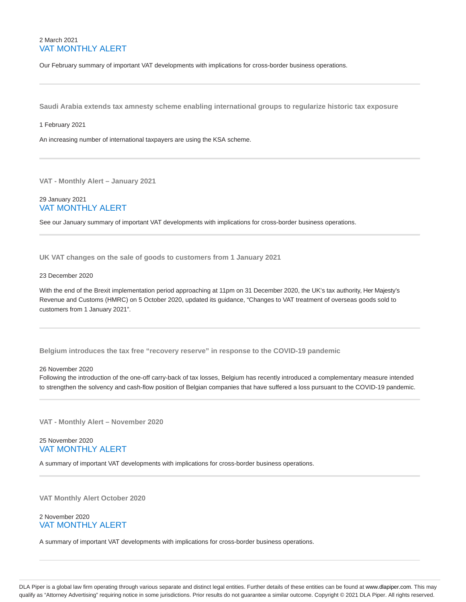# 2 March 2021 VAT MONTHLY ALERT

Our February summary of important VAT developments with implications for cross-border business operations.

**Saudi Arabia extends tax amnesty scheme enabling international groups to regularize historic tax exposure**

#### 1 February 2021

An increasing number of international taxpayers are using the KSA scheme.

**VAT - Monthly Alert – January 2021**

29 January 2021 VAT MONTHLY ALERT

See our January summary of important VAT developments with implications for cross-border business operations.

**UK VAT changes on the sale of goods to customers from 1 January 2021**

### 23 December 2020

With the end of the Brexit implementation period approaching at 11pm on 31 December 2020, the UK's tax authority, Her Majesty's Revenue and Customs (HMRC) on 5 October 2020, updated its guidance, "Changes to VAT treatment of overseas goods sold to customers from 1 January 2021".

**Belgium introduces the tax free "recovery reserve" in response to the COVID-19 pandemic**

#### 26 November 2020

Following the introduction of the one-off carry-back of tax losses, Belgium has recently introduced a complementary measure intended to strengthen the solvency and cash-flow position of Belgian companies that have suffered a loss pursuant to the COVID-19 pandemic.

**VAT - Monthly Alert – November 2020**

# 25 November 2020 VAT MONTHLY ALERT

A summary of important VAT developments with implications for cross-border business operations.

**VAT Monthly Alert October 2020**

### 2 November 2020 VAT MONTHLY ALERT

A summary of important VAT developments with implications for cross-border business operations.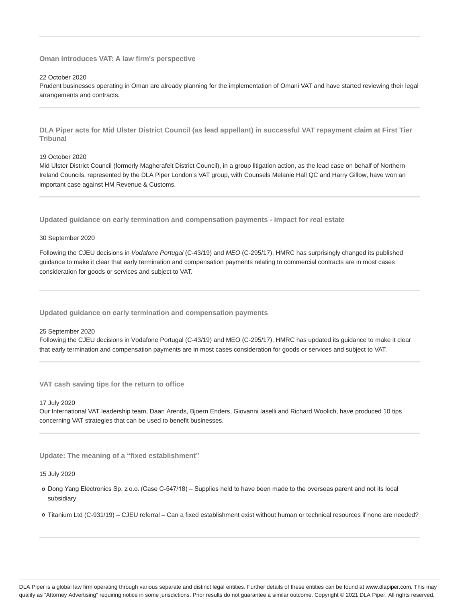#### **Oman introduces VAT: A law firm's perspective**

#### 22 October 2020

Prudent businesses operating in Oman are already planning for the implementation of Omani VAT and have started reviewing their legal arrangements and contracts.

**DLA Piper acts for Mid Ulster District Council (as lead appellant) in successful VAT repayment claim at First Tier Tribunal**

#### 19 October 2020

Mid Ulster District Council (formerly Magherafelt District Council), in a group litigation action, as the lead case on behalf of Northern Ireland Councils, represented by the DLA Piper London's VAT group, with Counsels Melanie Hall QC and Harry Gillow, have won an important case against HM Revenue & Customs.

**Updated guidance on early termination and compensation payments - impact for real estate**

#### 30 September 2020

Following the CJEU decisions in Vodafone Portugal (C-43/19) and MEO (C-295/17), HMRC has surprisingly changed its published guidance to make it clear that early termination and compensation payments relating to commercial contracts are in most cases consideration for goods or services and subject to VAT.

**Updated guidance on early termination and compensation payments**

25 September 2020

Following the CJEU decisions in Vodafone Portugal (C-43/19) and MEO (C-295/17), HMRC has updated its guidance to make it clear that early termination and compensation payments are in most cases consideration for goods or services and subject to VAT.

**VAT cash saving tips for the return to office**

#### 17 July 2020

Our International VAT leadership team, Daan Arends, Bjoern Enders, Giovanni Iaselli and Richard Woolich, have produced 10 tips concerning VAT strategies that can be used to benefit businesses.

**Update: The meaning of a "fixed establishment"**

#### 15 July 2020

- Dong Yang Electronics Sp. z o.o. (Case C-547/18) Supplies held to have been made to the overseas parent and not its local subsidiary
- Titanium Ltd (C-931/19) CJEU referral Can a fixed establishment exist without human or technical resources if none are needed?